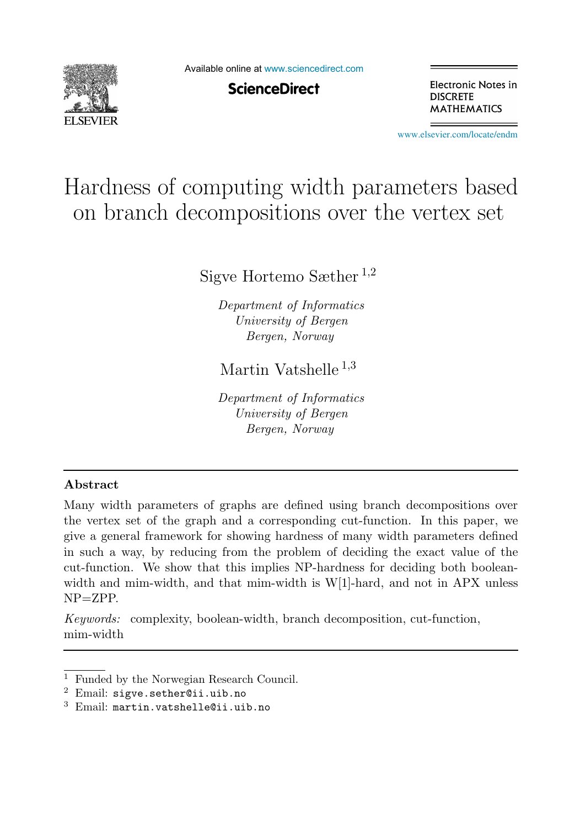

Available online at [www.sciencedirect.com](http://www.sciencedirect.com)

**ScienceDirect** 

Electronic Notes in **DISCRETE MATHEMATICS** 

[www.elsevier.com/locate/endm](http://www.elsevier.com/locate/endm)

# Hardness of computing width parameters based on branch decompositions over the vertex set

Sigve Hortemo Sæther  $^{1,2}$ 

Department of Informatics University of Bergen Bergen, Norway

Martin Vatshelle <sup>1,3</sup>

Department of Informatics University of Bergen Bergen, Norway

#### Abstract

Many width parameters of graphs are defined using branch decompositions over the vertex set of the graph and a corresponding cut-function. In this paper, we give a general framework for showing hardness of many width parameters defined in such a way, by reducing from the problem of deciding the exact value of the cut-function. We show that this implies NP-hardness for deciding both booleanwidth and mim-width, and that mim-width is W[1]-hard, and not in APX unless NP=ZPP.

Keywords: complexity, boolean-width, branch decomposition, cut-function, mim-width

<sup>&</sup>lt;sup>1</sup> Funded by the Norwegian Research Council.<sup>2</sup> Email: sigve.sether@ii.uib.no

<sup>3</sup> Email: martin.vatshelle@ii.uib.no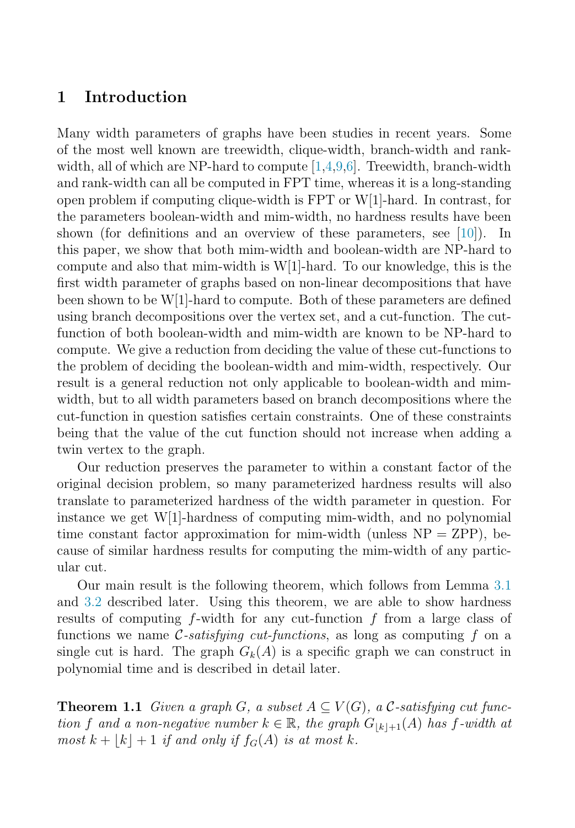## 1 Introduction

Many width parameters of graphs have been studies in recent years. Some of the most well known are treewidth, clique-width, branch-width and rankwidth, all of which are NP-hard to compute  $[1,4,9,6]$  $[1,4,9,6]$  $[1,4,9,6]$  $[1,4,9,6]$ . Treewidth, branch-width and rank-width can all be computed in FPT time, whereas it is a long-standing open problem if computing clique-width is FPT or W[1]-hard. In contrast, for the parameters boolean-width and mim-width, no hardness results have been shown (for definitions and an overview of these parameters, see [\[10\]](#page-7-4)). In this paper, we show that both mim-width and boolean-width are NP-hard to compute and also that mim-width is  $W[1]$ -hard. To our knowledge, this is the first width parameter of graphs based on non-linear decompositions that have been shown to be W[1]-hard to compute. Both of these parameters are defined using branch decompositions over the vertex set, and a cut-function. The cutfunction of both boolean-width and mim-width are known to be NP-hard to compute. We give a reduction from deciding the value of these cut-functions to the problem of deciding the boolean-width and mim-width, respectively. Our result is a general reduction not only applicable to boolean-width and mimwidth, but to all width parameters based on branch decompositions where the cut-function in question satisfies certain constraints. One of these constraints being that the value of the cut function should not increase when adding a twin vertex to the graph.

Our reduction preserves the parameter to within a constant factor of the original decision problem, so many parameterized hardness results will also translate to parameterized hardness of the width parameter in question. For instance we get W[1]-hardness of computing mim-width, and no polynomial time constant factor approximation for mim-width (unless  $NP = ZPP$ ), because of similar hardness results for computing the mim-width of any particular cut.

Our main result is the following theorem, which follows from Lemma [3.1](#page-5-0) and [3.2](#page-6-0) described later. Using this theorem, we are able to show hardness results of computing  $f$ -width for any cut-function  $f$  from a large class of functions we name  $\mathcal{C}\text{-}satisfying\ cut\text{-}functions,$  as long as computing f on a single cut is hard. The graph  $G_k(A)$  is a specific graph we can construct in polynomial time and is described in detail later.

<span id="page-1-0"></span>**Theorem 1.1** Given a graph G, a subset  $A \subseteq V(G)$ , a C-satisfying cut function f and a non-negative number  $k \in \mathbb{R}$ , the graph  $G_{|k|+1}(A)$  has f-width at most  $k + |k| + 1$  if and only if  $f_G(A)$  is at most k.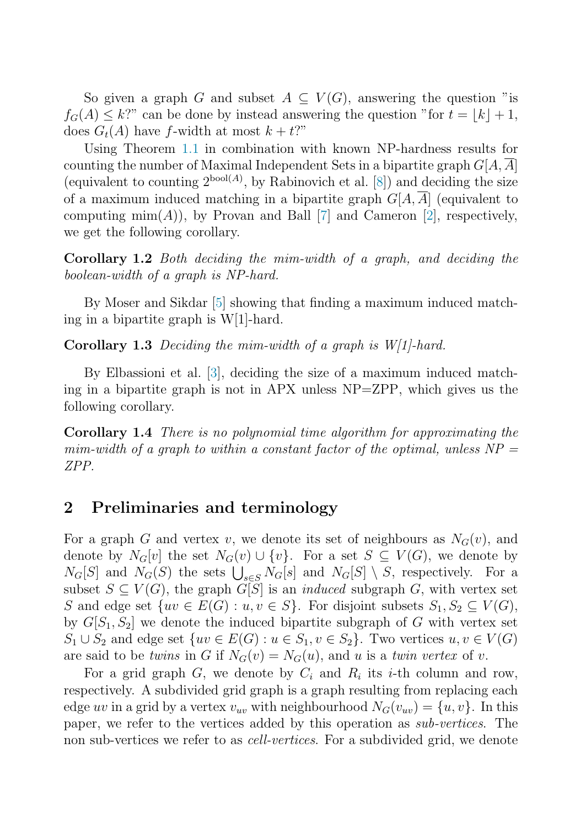So given a graph G and subset  $A \subseteq V(G)$ , answering the question "is  $f_G(A) \leq k$ ?" can be done by instead answering the question "for  $t = |k| + 1$ , does  $G_t(A)$  have f-width at most  $k + t$ ?"

Using Theorem [1.1](#page-1-0) in combination with known NP-hardness results for counting the number of Maximal Independent Sets in a bipartite graph  $G[A, A]$ (equivalent to counting  $2^{bool(A)}$ , by Rabinovich et al. [\[8\]](#page-7-5)) and deciding the size of a maximum induced matching in a bipartite graph  $G[A, \overline{A}]$  (equivalent to computing  $\min(A)$ , by Provan and Ball [\[7\]](#page-7-6) and Cameron [\[2\]](#page-7-7), respectively, we get the following corollary.

Corollary 1.2 Both deciding the mim-width of a graph, and deciding the boolean-width of a graph is NP-hard.

By Moser and Sikdar [\[5\]](#page-7-8) showing that finding a maximum induced matching in a bipartite graph is W[1]-hard.

Corollary 1.3 Deciding the mim-width of a graph is W[1]-hard.

By Elbassioni et al. [\[3\]](#page-7-9), deciding the size of a maximum induced matching in a bipartite graph is not in APX unless NP=ZPP, which gives us the following corollary.

Corollary 1.4 There is no polynomial time algorithm for approximating the mim-width of a graph to within a constant factor of the optimal, unless  $NP =$ ZPP.

#### 2 Preliminaries and terminology

For a graph G and vertex v, we denote its set of neighbours as  $N_G(v)$ , and denote by  $N_G[v]$  the set  $N_G(v) \cup \{v\}$ . For a set  $S \subseteq V(G)$ , we denote by  $N_G[S]$  and  $N_G(S)$  the sets  $\bigcup_{s \in S} N_G[s]$  and  $N_G[S] \setminus S$ , respectively. For a subset  $S \subseteq V(G)$ , the graph  $G[S]$  is an *induced* subgraph G, with vertex set S and edge set  $\{uv \in E(G) : u, v \in S\}$ . For disjoint subsets  $S_1, S_2 \subseteq V(G)$ , by  $G[S_1, S_2]$  we denote the induced bipartite subgraph of G with vertex set  $S_1 \cup S_2$  and edge set  $\{uv \in E(G) : u \in S_1, v \in S_2\}$ . Two vertices  $u, v \in V(G)$ are said to be twins in G if  $N_G(v) = N_G(u)$ , and u is a twin vertex of v.

For a grid graph G, we denote by  $C_i$  and  $R_i$  its *i*-th column and row, respectively. A subdivided grid graph is a graph resulting from replacing each edge uv in a grid by a vertex  $v_{uv}$  with neighbourhood  $N_G(v_{uv}) = \{u, v\}$ . In this paper, we refer to the vertices added by this operation as sub-vertices. The non sub-vertices we refer to as cell-vertices. For a subdivided grid, we denote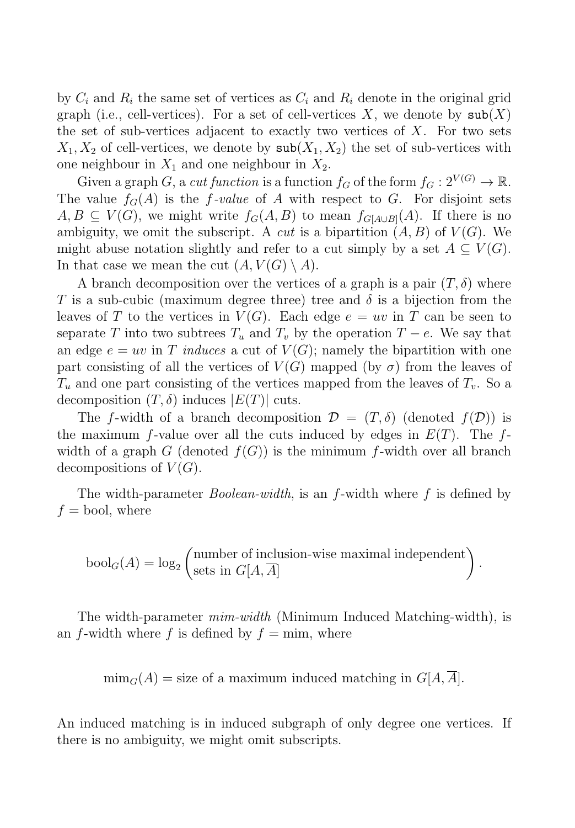by  $C_i$  and  $R_i$  the same set of vertices as  $C_i$  and  $R_i$  denote in the original grid graph (i.e., cell-vertices). For a set of cell-vertices X, we denote by  $\text{sub}(X)$ the set of sub-vertices adjacent to exactly two vertices of  $X$ . For two sets  $X_1, X_2$  of cell-vertices, we denote by  $\text{sub}(X_1, X_2)$  the set of sub-vertices with one neighbour in  $X_1$  and one neighbour in  $X_2$ .

Given a graph G, a cut function is a function  $f_G$  of the form  $f_G : 2^{V(G)} \to \mathbb{R}$ . The value  $f_G(A)$  is the f-value of A with respect to G. For disjoint sets  $A, B \subseteq V(G)$ , we might write  $f_G(A, B)$  to mean  $f_{G[A \cup B]}(A)$ . If there is no ambiguity, we omit the subscript. A *cut* is a bipartition  $(A, B)$  of  $V(G)$ . We might abuse notation slightly and refer to a cut simply by a set  $A \subseteq V(G)$ . In that case we mean the cut  $(A, V(G) \setminus A)$ .

A branch decomposition over the vertices of a graph is a pair  $(T, \delta)$  where T is a sub-cubic (maximum degree three) tree and  $\delta$  is a bijection from the leaves of T to the vertices in  $V(G)$ . Each edge  $e = uv$  in T can be seen to separate T into two subtrees  $T_u$  and  $T_v$  by the operation  $T - e$ . We say that an edge  $e = uv$  in T induces a cut of  $V(G)$ ; namely the bipartition with one part consisting of all the vertices of  $V(G)$  mapped (by  $\sigma$ ) from the leaves of  $T_u$  and one part consisting of the vertices mapped from the leaves of  $T_v$ . So a decomposition  $(T, \delta)$  induces  $|E(T)|$  cuts.

The f-width of a branch decomposition  $\mathcal{D} = (T, \delta)$  (denoted  $f(\mathcal{D})$ ) is the maximum f-value over all the cuts induced by edges in  $E(T)$ . The fwidth of a graph G (denoted  $f(G)$ ) is the minimum f-width over all branch decompositions of  $V(G)$ .

The width-parameter *Boolean-width*, is an  $f$ -width where  $f$  is defined by  $f =$ bool, where

$$
\text{bool}_G(A) = \log_2 \left( \text{number of inclusion-wise maximal independent} \atop \text{sets in } G[A, \overline{A}] \right).
$$

The width-parameter mim-width (Minimum Induced Matching-width), is an f-width where f is defined by  $f = \min$ , where

 $\min_G(A) =$  size of a maximum induced matching in  $G[A, A]$ .

An induced matching is in induced subgraph of only degree one vertices. If there is no ambiguity, we might omit subscripts.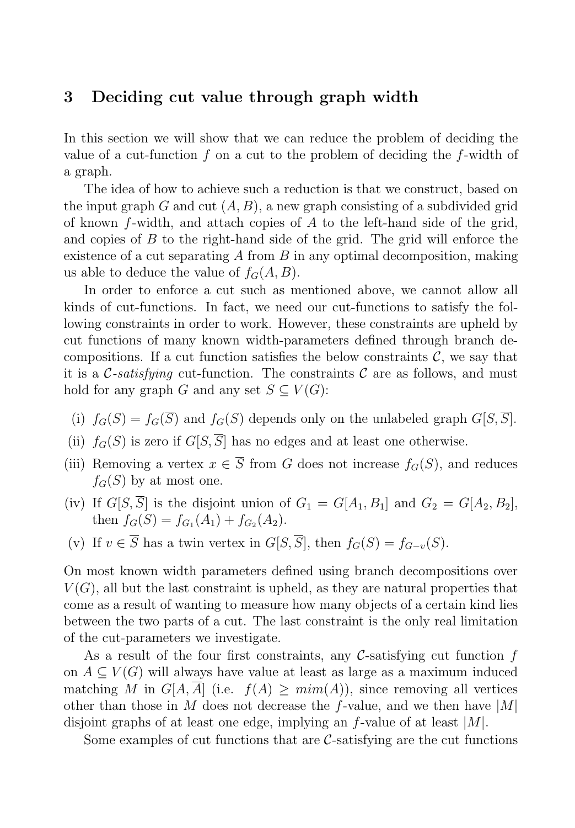### 3 Deciding cut value through graph width

In this section we will show that we can reduce the problem of deciding the value of a cut-function f on a cut to the problem of deciding the f-width of a graph.

The idea of how to achieve such a reduction is that we construct, based on the input graph G and cut  $(A, B)$ , a new graph consisting of a subdivided grid of known  $f$ -width, and attach copies of  $A$  to the left-hand side of the grid, and copies of  $B$  to the right-hand side of the grid. The grid will enforce the existence of a cut separating  $A$  from  $B$  in any optimal decomposition, making us able to deduce the value of  $f_G(A, B)$ .

In order to enforce a cut such as mentioned above, we cannot allow all kinds of cut-functions. In fact, we need our cut-functions to satisfy the following constraints in order to work. However, these constraints are upheld by cut functions of many known width-parameters defined through branch decompositions. If a cut function satisfies the below constraints  $C$ , we say that it is a C-satisfying cut-function. The constraints C are as follows, and must hold for any graph G and any set  $S \subseteq V(G)$ :

- (i)  $f_G(S) = f_G(\overline{S})$  and  $f_G(S)$  depends only on the unlabeled graph  $G[S, \overline{S}]$ .
- (ii)  $f_G(S)$  is zero if  $G[S, \overline{S}]$  has no edges and at least one otherwise.
- (iii) Removing a vertex  $x \in \overline{S}$  from G does not increase  $f_G(S)$ , and reduces  $f_G(S)$  by at most one.
- (iv) If  $G[S, \overline{S}]$  is the disjoint union of  $G_1 = G[A_1, B_1]$  and  $G_2 = G[A_2, B_2]$ , then  $f_G(S) = f_{G_1}(A_1) + f_{G_2}(A_2)$ .
- (v) If  $v \in \overline{S}$  has a twin vertex in  $G[S, \overline{S}],$  then  $f_G(S) = f_{G-v}(S)$ .

On most known width parameters defined using branch decompositions over  $V(G)$ , all but the last constraint is upheld, as they are natural properties that come as a result of wanting to measure how many objects of a certain kind lies between the two parts of a cut. The last constraint is the only real limitation of the cut-parameters we investigate.

As a result of the four first constraints, any  $\mathcal{C}$ -satisfying cut function f on  $A \subseteq V(G)$  will always have value at least as large as a maximum induced matching M in  $G[A, \overline{A}]$  (i.e.  $f(A) \geq \text{mim}(A)$ ), since removing all vertices other than those in M does not decrease the f-value, and we then have  $|M|$ disjoint graphs of at least one edge, implying an  $f$ -value of at least  $|M|$ .

Some examples of cut functions that are  $\mathcal{C}$ -satisfying are the cut functions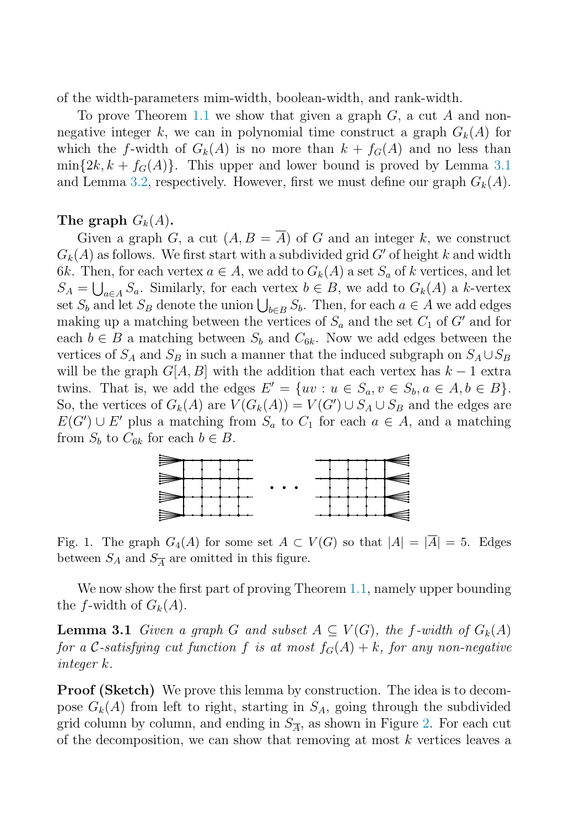of the width-parameters mim-width, boolean-width, and rank-width.

To prove Theorem [1.1](#page-1-0) we show that given a graph  $G$ , a cut  $A$  and nonnegative integer k, we can in polynomial time construct a graph  $G_k(A)$  for which the f-width of  $G_k(A)$  is no more than  $k + f_G(A)$  and no less than  $\min\{2k, k + f_G(A)\}\$ . This upper and lower bound is proved by Lemma [3.1](#page-5-0) and Lemma [3.2,](#page-6-0) respectively. However, first we must define our graph  $G_k(A)$ .

#### The graph  $G_k(A)$ .

Given a graph G, a cut  $(A, B = \overline{A})$  of G and an integer k, we construct  $G_k(A)$  as follows. We first start with a subdivided grid G' of height k and width 6k. Then, for each vertex  $a \in A$ , we add to  $G_k(A)$  a set  $S_a$  of k vertices, and let  $S_A = \bigcup_{a \in A} S_a$ . Similarly, for each vertex  $b \in B$ , we add to  $G_k(A)$  a k-vertex set  $S_b$  and let  $S_B$  denote the union  $\bigcup_{b \in B} S_b$ . Then, for each  $a \in A$  we add edges making up a matching between the vertices of  $S_a$  and the set  $C_1$  of  $G'$  and for each  $b \in B$  a matching between  $S_b$  and  $C_{6k}$ . Now we add edges between the vertices of  $S_A$  and  $S_B$  in such a manner that the induced subgraph on  $S_A \cup S_B$ will be the graph  $G[A, B]$  with the addition that each vertex has  $k - 1$  extra twins. That is, we add the edges  $E' = \{uv : u \in S_a, v \in S_b, a \in A, b \in B\}.$ So, the vertices of  $G_k(A)$  are  $V(G_k(A)) = V(G') \cup S_A \cup S_B$  and the edges are  $E(G') \cup E'$  plus a matching from  $S_a$  to  $C_1$  for each  $a \in A$ , and a matching from  $S_b$  to  $C_{6k}$  for each  $b \in B$ .



Fig. 1. The graph  $G_4(A)$  for some set  $A \subset V(G)$  so that  $|A| = |\overline{A}| = 5$ . Edges between  $S_A$  and  $S_{\overline{A}}$  are omitted in this figure.

We now show the first part of proving Theorem [1.1,](#page-1-0) namely upper bounding the f-width of  $G_k(A)$ .

<span id="page-5-0"></span>**Lemma 3.1** Given a graph G and subset  $A \subseteq V(G)$ , the f-width of  $G_k(A)$ for a C-satisfying cut function f is at most  $f_G(A) + k$ , for any non-negative integer k.

Proof (Sketch) We prove this lemma by construction. The idea is to decompose  $G_k(A)$  from left to right, starting in  $S_A$ , going through the subdivided grid column by column, and ending in  $S_{\overline{A}}$ , as shown in Figure [2.](#page-6-1) For each cut of the decomposition, we can show that removing at most  $k$  vertices leaves a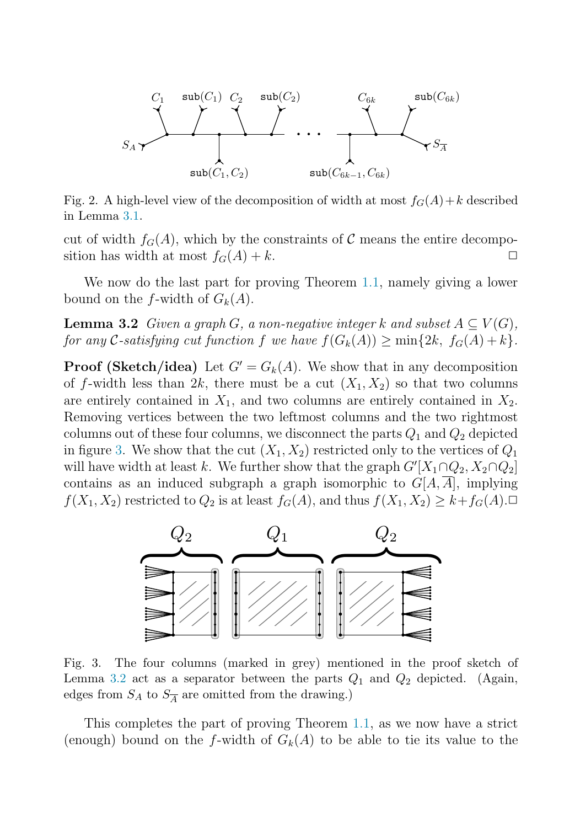

<span id="page-6-1"></span>Fig. 2. A high-level view of the decomposition of width at most  $f_G(A) + k$  described in Lemma [3.1.](#page-5-0)

cut of width  $f_G(A)$ , which by the constraints of C means the entire decomposition has width at most  $f_G(A) + k$ .

<span id="page-6-0"></span>We now do the last part for proving Theorem [1.1,](#page-1-0) namely giving a lower bound on the f-width of  $G_k(A)$ .

**Lemma 3.2** Given a graph G, a non-negative integer k and subset  $A \subseteq V(G)$ , for any C-satisfying cut function f we have  $f(G_k(A)) \ge \min\{2k, f_G(A) + k\}.$ 

**Proof (Sketch/idea)** Let  $G' = G_k(A)$ . We show that in any decomposition of f-width less than  $2k$ , there must be a cut  $(X_1, X_2)$  so that two columns are entirely contained in  $X_1$ , and two columns are entirely contained in  $X_2$ . Removing vertices between the two leftmost columns and the two rightmost columns out of these four columns, we disconnect the parts  $Q_1$  and  $Q_2$  depicted in figure [3.](#page-6-2) We show that the cut  $(X_1, X_2)$  restricted only to the vertices of  $Q_1$ will have width at least k. We further show that the graph  $G'[X_1 \cap Q_2, X_2 \cap Q_2]$ contains as an induced subgraph a graph isomorphic to  $G[A, A]$ , implying  $f(X_1, X_2)$  restricted to  $Q_2$  is at least  $f_G(A)$ , and thus  $f(X_1, X_2) \geq k + f_G(A)$ .



<span id="page-6-2"></span>Fig. 3. The four columns (marked in grey) mentioned in the proof sketch of Lemma [3.2](#page-6-0) act as a separator between the parts  $Q_1$  and  $Q_2$  depicted. (Again, edges from  $S_A$  to  $S_{\overline{A}}$  are omitted from the drawing.)

This completes the part of proving Theorem [1.1,](#page-1-0) as we now have a strict (enough) bound on the f-width of  $G_k(A)$  to be able to tie its value to the